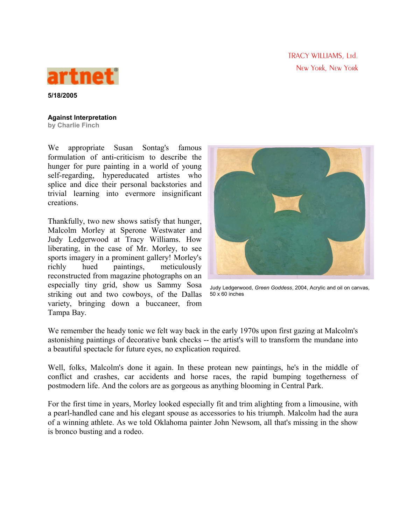TRACY WILLIAMS, Ltd. New York, New York



**5/18/2005**

## **Against Interpretation**

**by Charlie Finch**

We appropriate Susan Sontag's famous formulation of anti-criticism to describe the hunger for pure painting in a world of young self-regarding, hypereducated artistes who splice and dice their personal backstories and trivial learning into evermore insignificant creations.

Thankfully, two new shows satisfy that hunger, Malcolm Morley at Sperone Westwater and Judy Ledgerwood at Tracy Williams. How liberating, in the case of Mr. Morley, to see sports imagery in a prominent gallery! Morley's richly hued paintings, meticulously reconstructed from magazine photographs on an especially tiny grid, show us Sammy Sosa striking out and two cowboys, of the Dallas variety, bringing down a buccaneer, from Tampa Bay.



Judy Ledgerwood, *Green Goddess*, 2004, Acrylic and oil on canvas, 50 x 60 inches

We remember the heady tonic we felt way back in the early 1970s upon first gazing at Malcolm's astonishing paintings of decorative bank checks -- the artist's will to transform the mundane into a beautiful spectacle for future eyes, no explication required.

Well, folks, Malcolm's done it again. In these protean new paintings, he's in the middle of conflict and crashes, car accidents and horse races, the rapid bumping togetherness of postmodern life. And the colors are as gorgeous as anything blooming in Central Park.

For the first time in years, Morley looked especially fit and trim alighting from a limousine, with a pearl-handled cane and his elegant spouse as accessories to his triumph. Malcolm had the aura of a winning athlete. As we told Oklahoma painter John Newsom, all that's missing in the show is bronco busting and a rodeo.